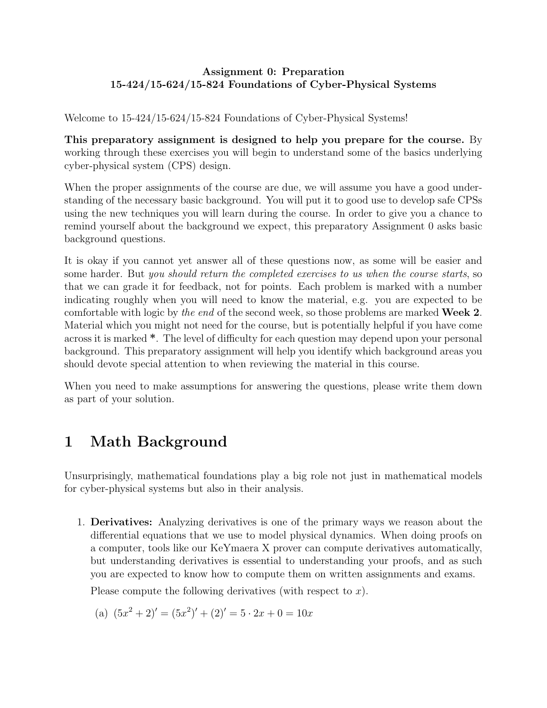#### Assignment 0: Preparation 15-424/15-624/15-824 Foundations of Cyber-Physical Systems

Welcome to 15-424/15-624/15-824 Foundations of Cyber-Physical Systems!

This preparatory assignment is designed to help you prepare for the course. By working through these exercises you will begin to understand some of the basics underlying cyber-physical system (CPS) design.

When the proper assignments of the course are due, we will assume you have a good understanding of the necessary basic background. You will put it to good use to develop safe CPSs using the new techniques you will learn during the course. In order to give you a chance to remind yourself about the background we expect, this preparatory Assignment 0 asks basic background questions.

It is okay if you cannot yet answer all of these questions now, as some will be easier and some harder. But you should return the completed exercises to us when the course starts, so that we can grade it for feedback, not for points. Each problem is marked with a number indicating roughly when you will need to know the material, e.g. you are expected to be comfortable with logic by the end of the second week, so those problems are marked **Week 2**. Material which you might not need for the course, but is potentially helpful if you have come across it is marked \*. The level of difficulty for each question may depend upon your personal background. This preparatory assignment will help you identify which background areas you should devote special attention to when reviewing the material in this course.

When you need to make assumptions for answering the questions, please write them down as part of your solution.

# 1 Math Background

Unsurprisingly, mathematical foundations play a big role not just in mathematical models for cyber-physical systems but also in their analysis.

1. Derivatives: Analyzing derivatives is one of the primary ways we reason about the differential equations that we use to model physical dynamics. When doing proofs on a computer, tools like our KeYmaera X prover can compute derivatives automatically, but understanding derivatives is essential to understanding your proofs, and as such you are expected to know how to compute them on written assignments and exams.

Please compute the following derivatives (with respect to  $x$ ).

(a)  $(5x^2 + 2)' = (5x^2)' + (2)' = 5 \cdot 2x + 0 = 10x$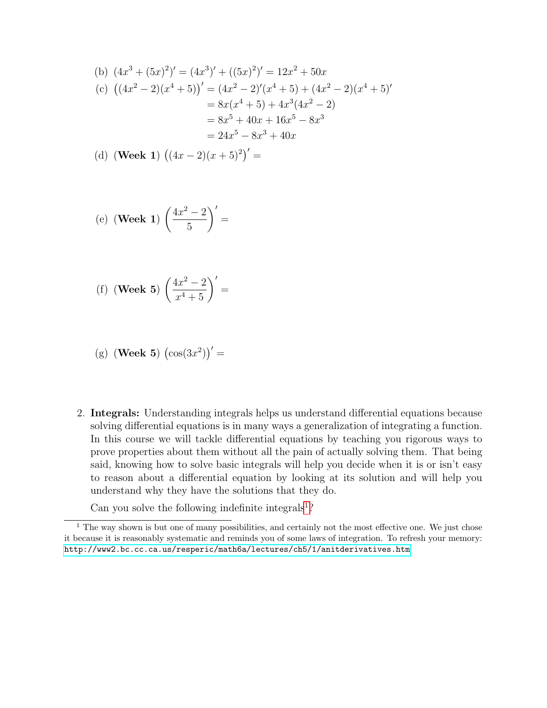(b) 
$$
(4x^3 + (5x)^2)' = (4x^3)' + ((5x)^2)' = 12x^2 + 50x
$$
  
\n(c)  $((4x^2 - 2)(x^4 + 5))' = (4x^2 - 2)'(x^4 + 5) + (4x^2 - 2)(x^4 + 5)'$   
\n $= 8x(x^4 + 5) + 4x^3(4x^2 - 2)$   
\n $= 8x^5 + 40x + 16x^5 - 8x^3$   
\n $= 24x^5 - 8x^3 + 40x$ 

(d) (Week 1)  $((4x-2)(x+5)^2)'$  =

(e) (**Week 1**) 
$$
\left(\frac{4x^2 - 2}{5}\right)' =
$$

(f) (Week 5) 
$$
\left(\frac{4x^2 - 2}{x^4 + 5}\right)' =
$$

(g) (**Week 5**) 
$$
(\cos(3x^2))'
$$
 =

2. Integrals: Understanding integrals helps us understand differential equations because solving differential equations is in many ways a generalization of integrating a function. In this course we will tackle differential equations by teaching you rigorous ways to prove properties about them without all the pain of actually solving them. That being said, knowing how to solve basic integrals will help you decide when it is or isn't easy to reason about a differential equation by looking at its solution and will help you understand why they have the solutions that they do.

Can you solve the following indefinite integrals<sup>[1](#page-1-0)</sup>?

<span id="page-1-0"></span> $\overline{1}$  The way shown is but one of many possibilities, and certainly not the most effective one. We just chose it because it is reasonably systematic and reminds you of some laws of integration. To refresh your memory: <http://www2.bc.cc.ca.us/resperic/math6a/lectures/ch5/1/anitderivatives.htm>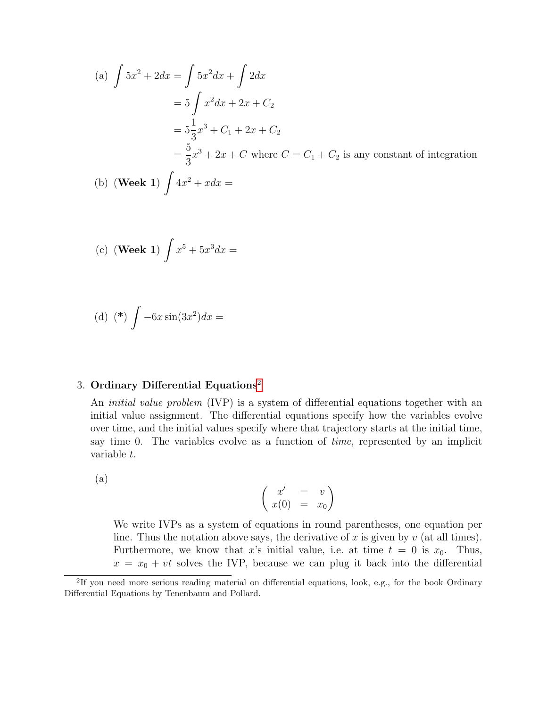(a) 
$$
\int 5x^2 + 2dx = \int 5x^2 dx + \int 2dx
$$
  
\n $= 5 \int x^2 dx + 2x + C_2$   
\n $= 5 \frac{1}{3}x^3 + C_1 + 2x + C_2$   
\n $= \frac{5}{3}x^3 + 2x + C$  where  $C = C_1 + C_2$  is any constant of integration  
\n(b) (Week 1)  $\int 4x^2 + xdx =$ 

(c) (Week 1) 
$$
\int x^5 + 5x^3 dx =
$$

(d) (\*) 
$$
\int -6x \sin(3x^2) dx =
$$

#### 3. Ordinary Differential Equations<sup>[2](#page-2-0)</sup>

An initial value problem (IVP) is a system of differential equations together with an initial value assignment. The differential equations specify how the variables evolve over time, and the initial values specify where that trajectory starts at the initial time, say time 0. The variables evolve as a function of time, represented by an implicit variable t.

(a)

$$
\left(\begin{array}{rcl}\nx' & = & v \\
x(0) & = & x_0\n\end{array}\right)
$$

We write IVPs as a system of equations in round parentheses, one equation per line. Thus the notation above says, the derivative of x is given by  $v$  (at all times). Furthermore, we know that x's initial value, i.e. at time  $t = 0$  is  $x_0$ . Thus,  $x = x_0 + vt$  solves the IVP, because we can plug it back into the differential

<span id="page-2-0"></span><sup>&</sup>lt;sup>2</sup>If you need more serious reading material on differential equations, look, e.g., for the book Ordinary Differential Equations by Tenenbaum and Pollard.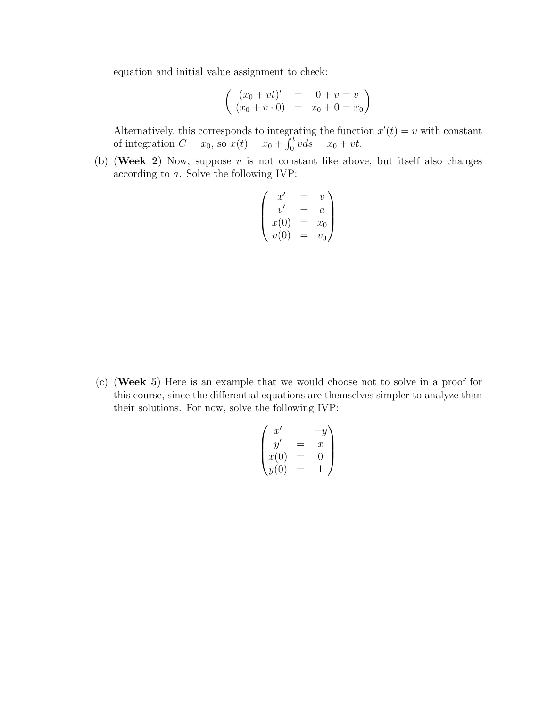equation and initial value assignment to check:

$$
\begin{pmatrix}\n(x_0 + vt)' & = & 0 + v = v \\
(x_0 + v \cdot 0) & = & x_0 + 0 = x_0\n\end{pmatrix}
$$

Alternatively, this corresponds to integrating the function  $x'(t) = v$  with constant of integration  $C = x_0$ , so  $x(t) = x_0 + \int_0^t v ds = x_0 + vt$ .

(b) (Week 2) Now, suppose  $v$  is not constant like above, but itself also changes according to a. Solve the following IVP:

$$
\begin{pmatrix}\nx' & = & v \\
v' & = & a \\
x(0) & = & x_0 \\
v(0) & = & v_0\n\end{pmatrix}
$$

<span id="page-3-0"></span>(c) (Week 5) Here is an example that we would choose not to solve in a proof for this course, since the differential equations are themselves simpler to analyze than their solutions. For now, solve the following IVP:

$$
\begin{pmatrix} x' & = & -y \\ y' & = & x \\ x(0) & = & 0 \\ y(0) & = & 1 \end{pmatrix}
$$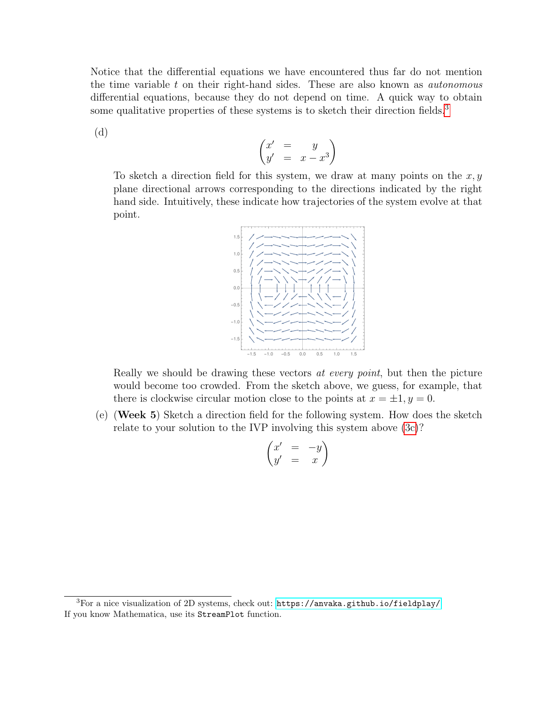Notice that the differential equations we have encountered thus far do not mention the time variable  $t$  on their right-hand sides. These are also known as *autonomous* differential equations, because they do not depend on time. A quick way to obtain some qualitative properties of these systems is to sketch their direction fields.<sup>[3](#page-4-0)</sup>

(d)

$$
\begin{pmatrix} x' & = & y \\ y' & = & x - x^3 \end{pmatrix}
$$

To sketch a direction field for this system, we draw at many points on the  $x, y$ plane directional arrows corresponding to the directions indicated by the right hand side. Intuitively, these indicate how trajectories of the system evolve at that point.



Really we should be drawing these vectors at every point, but then the picture would become too crowded. From the sketch above, we guess, for example, that there is clockwise circular motion close to the points at  $x = \pm 1, y = 0$ .

(e) (Week 5) Sketch a direction field for the following system. How does the sketch relate to your solution to the IVP involving this system above [\(3c\)](#page-3-0)?

$$
\begin{pmatrix} x' & = & -y \\ y' & = & x \end{pmatrix}
$$

<span id="page-4-0"></span> ${}^{3}$ For a nice visualization of 2D systems, check out: <https://anvaka.github.io/fieldplay/> If you know Mathematica, use its StreamPlot function.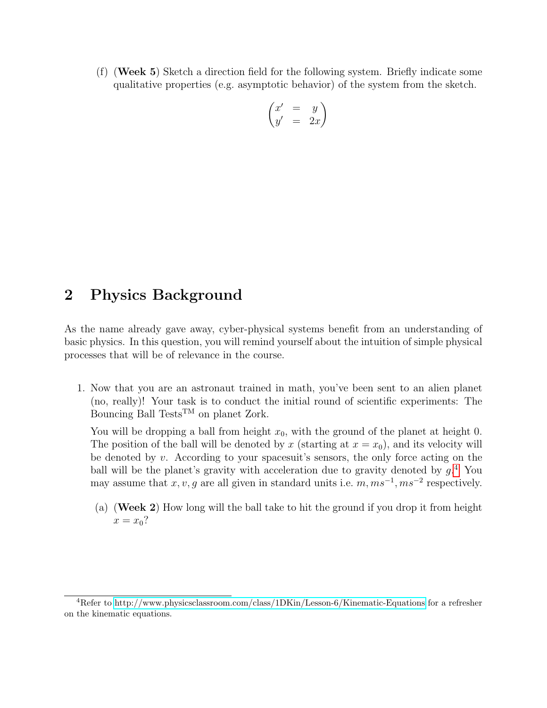(f) (Week 5) Sketch a direction field for the following system. Briefly indicate some qualitative properties (e.g. asymptotic behavior) of the system from the sketch.

$$
\begin{pmatrix} x' & = & y \\ y' & = & 2x \end{pmatrix}
$$

### 2 Physics Background

As the name already gave away, cyber-physical systems benefit from an understanding of basic physics. In this question, you will remind yourself about the intuition of simple physical processes that will be of relevance in the course.

1. Now that you are an astronaut trained in math, you've been sent to an alien planet (no, really)! Your task is to conduct the initial round of scientific experiments: The Bouncing Ball Tests<sup>TM</sup> on planet Zork.

You will be dropping a ball from height  $x_0$ , with the ground of the planet at height 0. The position of the ball will be denoted by x (starting at  $x = x_0$ ), and its velocity will be denoted by  $v$ . According to your spacesuit's sensors, the only force acting on the ball will be the planet's gravity with acceleration due to gravity denoted by  $g<sup>4</sup>$  $g<sup>4</sup>$  $g<sup>4</sup>$  You may assume that  $x, v, g$  are all given in standard units i.e.  $m, ms^{-1}, ms^{-2}$  respectively.

(a) (Week 2) How long will the ball take to hit the ground if you drop it from height  $x = x<sub>0</sub>$ ?

<span id="page-5-0"></span><sup>4</sup>Refer to<http://www.physicsclassroom.com/class/1DKin/Lesson-6/Kinematic-Equations> for a refresher on the kinematic equations.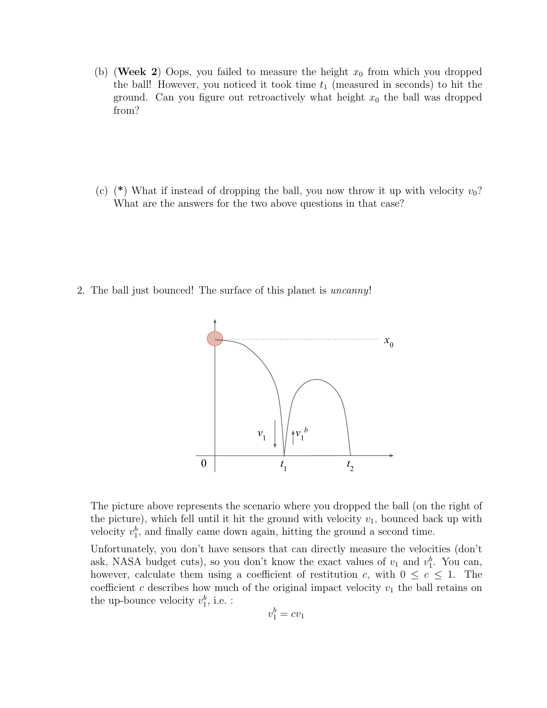- (b) (Week 2) Oops, you failed to measure the height  $x_0$  from which you dropped the ball! However, you noticed it took time  $t_1$  (measured in seconds) to hit the ground. Can you figure out retroactively what height  $x_0$  the ball was dropped from?
- (c) (\*) What if instead of dropping the ball, you now throw it up with velocity  $v_0$ ? What are the answers for the two above questions in that case?

2. The ball just bounced! The surface of this planet is uncanny!



The picture above represents the scenario where you dropped the ball (on the right of the picture), which fell until it hit the ground with velocity  $v_1$ , bounced back up with velocity  $v_1^b$ , and finally came down again, hitting the ground a second time.

Unfortunately, you don't have sensors that can directly measure the velocities (don't ask, NASA budget cuts), so you don't know the exact values of  $v_1$  and  $v_1^b$ . You can, however, calculate them using a coefficient of restitution c, with  $0 \leq c \leq 1$ . The coefficient c describes how much of the original impact velocity  $v_1$  the ball retains on the up-bounce velocity  $v_1^b$ , i.e. :

$$
v_1^b = cv_1
$$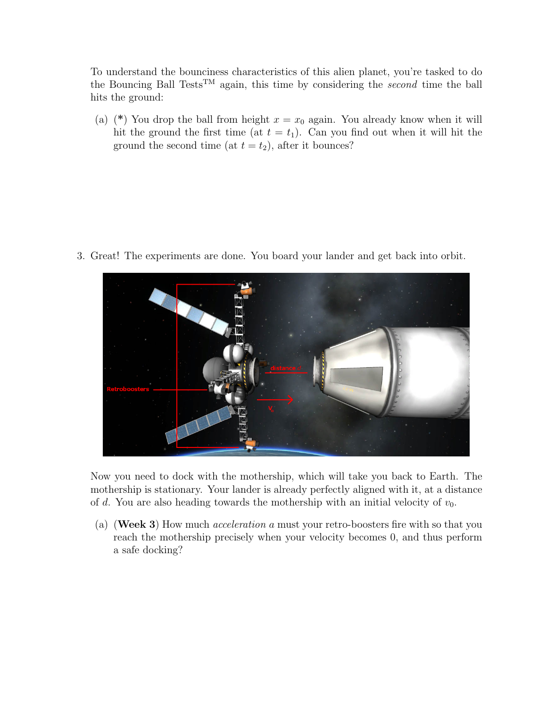To understand the bounciness characteristics of this alien planet, you're tasked to do the Bouncing Ball Tests<sup>TM</sup> again, this time by considering the *second* time the ball hits the ground:

(a) (\*) You drop the ball from height  $x = x_0$  again. You already know when it will hit the ground the first time (at  $t = t_1$ ). Can you find out when it will hit the ground the second time (at  $t = t_2$ ), after it bounces?

3. Great! The experiments are done. You board your lander and get back into orbit.



Now you need to dock with the mothership, which will take you back to Earth. The mothership is stationary. Your lander is already perfectly aligned with it, at a distance of d. You are also heading towards the mothership with an initial velocity of  $v_0$ .

(a) (Week 3) How much acceleration a must your retro-boosters fire with so that you reach the mothership precisely when your velocity becomes 0, and thus perform a safe docking?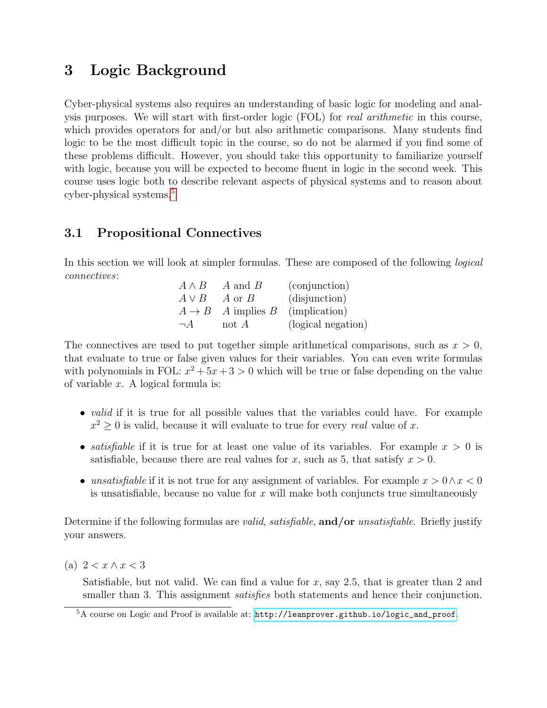## 3 Logic Background

Cyber-physical systems also requires an understanding of basic logic for modeling and analysis purposes. We will start with first-order logic (FOL) for real arithmetic in this course, which provides operators for and/or but also arithmetic comparisons. Many students find logic to be the most difficult topic in the course, so do not be alarmed if you find some of these problems difficult. However, you should take this opportunity to familiarize yourself with logic, because you will be expected to become fluent in logic in the second week. This course uses logic both to describe relevant aspects of physical systems and to reason about cyber-physical systems.[5](#page-8-0)

### 3.1 Propositional Connectives

In this section we will look at simpler formulas. These are composed of the following *logical* connectives:

| $A \wedge B$ | $A$ and $B$                   | (conjunction)      |
|--------------|-------------------------------|--------------------|
| $A \vee B$   | A or B                        | (disjunction)      |
|              | $A \rightarrow B$ A implies B | (implication)      |
| $\neg A$     | not $A$                       | (logical negation) |

The connectives are used to put together simple arithmetical comparisons, such as  $x > 0$ , that evaluate to true or false given values for their variables. You can even write formulas with polynomials in FOL:  $x^2 + 5x + 3 > 0$  which will be true or false depending on the value of variable  $x$ . A logical formula is:

- *valid* if it is true for all possible values that the variables could have. For example  $x^2 \geq 0$  is valid, because it will evaluate to true for every real value of x.
- satisfiable if it is true for at least one value of its variables. For example  $x > 0$  is satisfiable, because there are real values for x, such as 5, that satisfy  $x > 0$ .
- unsatisfiable if it is not true for any assignment of variables. For example  $x > 0 \land x < 0$ is unsatisfiable, because no value for  $x$  will make both conjuncts true simultaneously

Determine if the following formulas are *valid, satisfiable*, **and**/or *unsatisfiable*. Briefly justify your answers.

(a)  $2 < x \wedge x < 3$ 

Satisfiable, but not valid. We can find a value for  $x$ , say 2.5, that is greater than 2 and smaller than 3. This assignment *satisfies* both statements and hence their conjunction.

<span id="page-8-0"></span><sup>&</sup>lt;sup>5</sup>A course on Logic and Proof is available at: [http://leanprover.github.io/logic\\_and\\_proof](http://leanprover.github.io/logic_and_proof).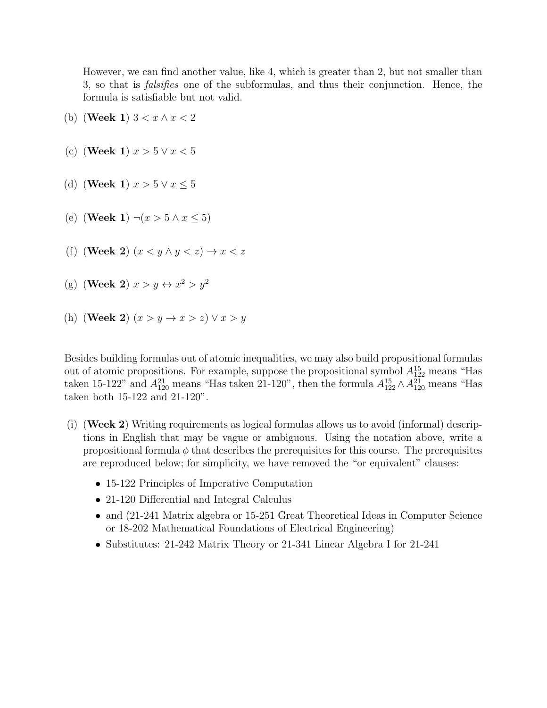However, we can find another value, like 4, which is greater than 2, but not smaller than 3, so that is falsifies one of the subformulas, and thus their conjunction. Hence, the formula is satisfiable but not valid.

- (b) (Week 1)  $3 < x \wedge x < 2$
- (c) (Week 1)  $x > 5 \vee x < 5$
- (d) (Week 1)  $x > 5 \vee x \le 5$
- (e) (Week 1)  $\neg(x > 5 \land x \leq 5)$
- (f) (Week 2)  $(x < y \land y < z) \rightarrow x < z$
- (g) (Week 2)  $x > y \leftrightarrow x^2 > y^2$
- (h) (Week 2)  $(x > y \rightarrow x > z) \vee x > y$

Besides building formulas out of atomic inequalities, we may also build propositional formulas out of atomic propositions. For example, suppose the propositional symbol  $A_{122}^{15}$  means "Has taken 15-122" and  $A_{120}^{21}$  means "Has taken 21-120", then the formula  $A_{122}^{15} \wedge A_{120}^{21}$  means "Has taken both 15-122 and 21-120".

- (i) (Week 2) Writing requirements as logical formulas allows us to avoid (informal) descriptions in English that may be vague or ambiguous. Using the notation above, write a propositional formula  $\phi$  that describes the prerequisites for this course. The prerequisites are reproduced below; for simplicity, we have removed the "or equivalent" clauses:
	- 15-122 Principles of Imperative Computation
	- 21-120 Differential and Integral Calculus
	- and (21-241 Matrix algebra or 15-251 Great Theoretical Ideas in Computer Science or 18-202 Mathematical Foundations of Electrical Engineering)
	- Substitutes: 21-242 Matrix Theory or 21-341 Linear Algebra I for 21-241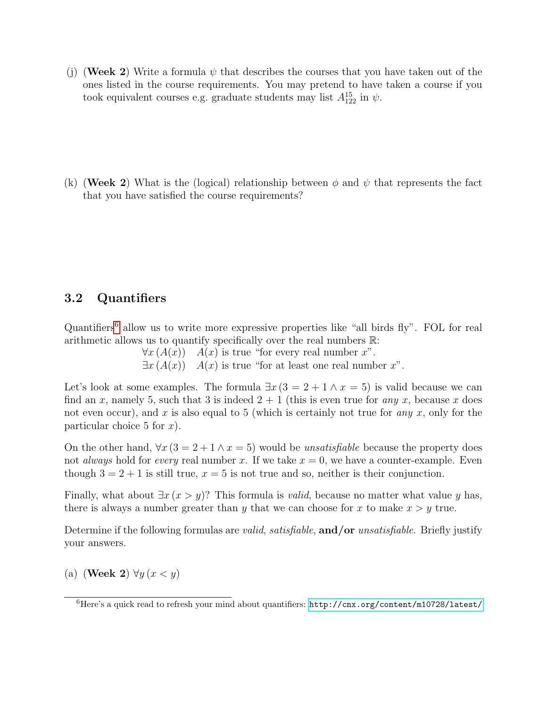(j) (Week 2) Write a formula  $\psi$  that describes the courses that you have taken out of the ones listed in the course requirements. You may pretend to have taken a course if you took equivalent courses e.g. graduate students may list  $A_{122}^{15}$  in  $\psi$ .

(k) (Week 2) What is the (logical) relationship between  $\phi$  and  $\psi$  that represents the fact that you have satisfied the course requirements?

#### 3.2 Quantifiers

Quantifiers<sup>[6](#page-10-0)</sup> allow us to write more expressive properties like "all birds fly". FOL for real arithmetic allows us to quantify specifically over the real numbers R:

 $\forall x (A(x))$   $A(x)$  is true "for every real number x".

 $\exists x (A(x))$   $A(x)$  is true "for at least one real number x".

Let's look at some examples. The formula  $\exists x (3 = 2 + 1 \land x = 5)$  is valid because we can find an x, namely 5, such that 3 is indeed  $2 + 1$  (this is even true for any x, because x does not even occur), and x is also equal to 5 (which is certainly not true for any x, only for the particular choice 5 for  $x$ ).

On the other hand,  $\forall x (3 = 2 + 1 \land x = 5)$  would be *unsatisfiable* because the property does not always hold for every real number x. If we take  $x = 0$ , we have a counter-example. Even though  $3 = 2 + 1$  is still true,  $x = 5$  is not true and so, neither is their conjunction.

Finally, what about  $\exists x \,(x > y)$ ? This formula is *valid*, because no matter what value y has, there is always a number greater than y that we can choose for x to make  $x > y$  true.

Determine if the following formulas are *valid, satisfiable*, **and/or** *unsatisfiable*. Briefly justify your answers.

(a) (Week 2)  $\forall y \, (x \leq y)$ 

<span id="page-10-0"></span> $6$ Here's a quick read to refresh your mind about quantifiers: <http://cnx.org/content/m10728/latest/>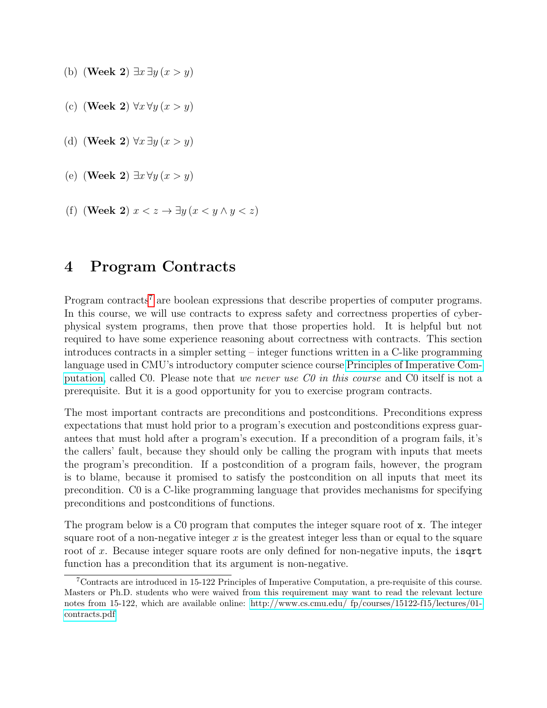- (b) (Week 2)  $\exists x \exists y (x > y)$
- (c) (Week 2)  $\forall x \forall y (x > y)$
- (d) (Week 2)  $\forall x \exists y (x > y)$
- (e) (Week 2)  $\exists x \forall y (x > y)$
- (f) (Week 2)  $x < z \rightarrow \exists y \ (x < y \land y < z)$

### 4 Program Contracts

Program contracts<sup>[7](#page-11-0)</sup> are boolean expressions that describe properties of computer programs. In this course, we will use contracts to express safety and correctness properties of cyberphysical system programs, then prove that those properties hold. It is helpful but not required to have some experience reasoning about correctness with contracts. This section introduces contracts in a simpler setting – integer functions written in a C-like programming language used in CMU's introductory computer science course [Principles of Imperative Com](http://www.cs.cmu.edu/afs/cs.cmu.edu/academic/class/15122-s14/www/)[putation,](http://www.cs.cmu.edu/afs/cs.cmu.edu/academic/class/15122-s14/www/) called C0. Please note that we never use C0 in this course and C0 itself is not a prerequisite. But it is a good opportunity for you to exercise program contracts.

The most important contracts are preconditions and postconditions. Preconditions express expectations that must hold prior to a program's execution and postconditions express guarantees that must hold after a program's execution. If a precondition of a program fails, it's the callers' fault, because they should only be calling the program with inputs that meets the program's precondition. If a postcondition of a program fails, however, the program is to blame, because it promised to satisfy the postcondition on all inputs that meet its precondition. C0 is a C-like programming language that provides mechanisms for specifying preconditions and postconditions of functions.

The program below is a C0 program that computes the integer square root of x. The integer square root of a non-negative integer  $x$  is the greatest integer less than or equal to the square root of x. Because integer square roots are only defined for non-negative inputs, the isqrt function has a precondition that its argument is non-negative.

<span id="page-11-0"></span><sup>7</sup>Contracts are introduced in 15-122 Principles of Imperative Computation, a pre-requisite of this course. Masters or Ph.D. students who were waived from this requirement may want to read the relevant lecture notes from 15-122, which are available online: [http://www.cs.cmu.edu/ fp/courses/15122-f15/lectures/01](http://www.cs.cmu.edu/~fp/courses/15122-f15/lectures/01-contracts.pdf) [contracts.pdf](http://www.cs.cmu.edu/~fp/courses/15122-f15/lectures/01-contracts.pdf)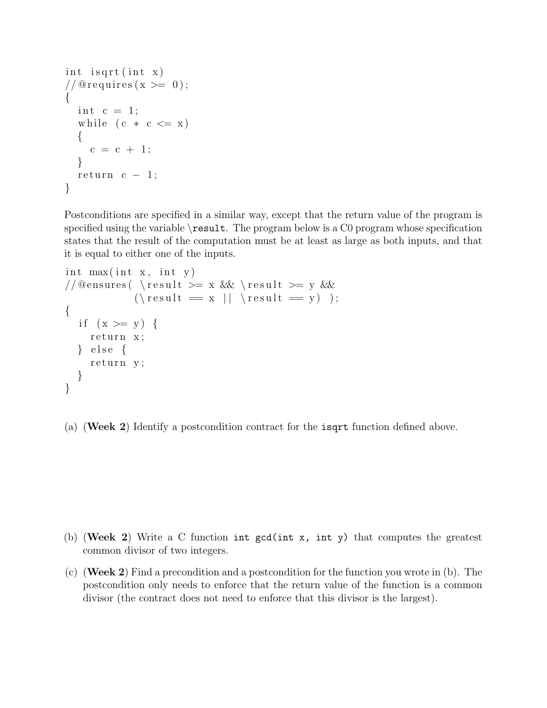```
int isqrt(int x)// @ requires (x >= 0);{
  int c = 1;
  while (c * c \leq x){
    c = c + 1;}
  return c - 1;}
```
Postconditions are specified in a similar way, except that the return value of the program is specified using the variable \result. The program below is a C0 program whose specification states that the result of the computation must be at least as large as both inputs, and that it is equal to either one of the inputs.

```
int max(int x, int y)// @ensures (\ result >= x && \ result >= y &&
            (\text{result} = x || \text{result} = y) ;
{
  if (x \ge y) {
    return x;
  \} else \{return y;
  }
}
```
(a) (Week 2) Identify a postcondition contract for the isqrt function defined above.

- (b) (Week 2) Write a C function int gcd(int x, int y) that computes the greatest common divisor of two integers.
- (c) (Week 2) Find a precondition and a postcondition for the function you wrote in (b). The postcondition only needs to enforce that the return value of the function is a common divisor (the contract does not need to enforce that this divisor is the largest).